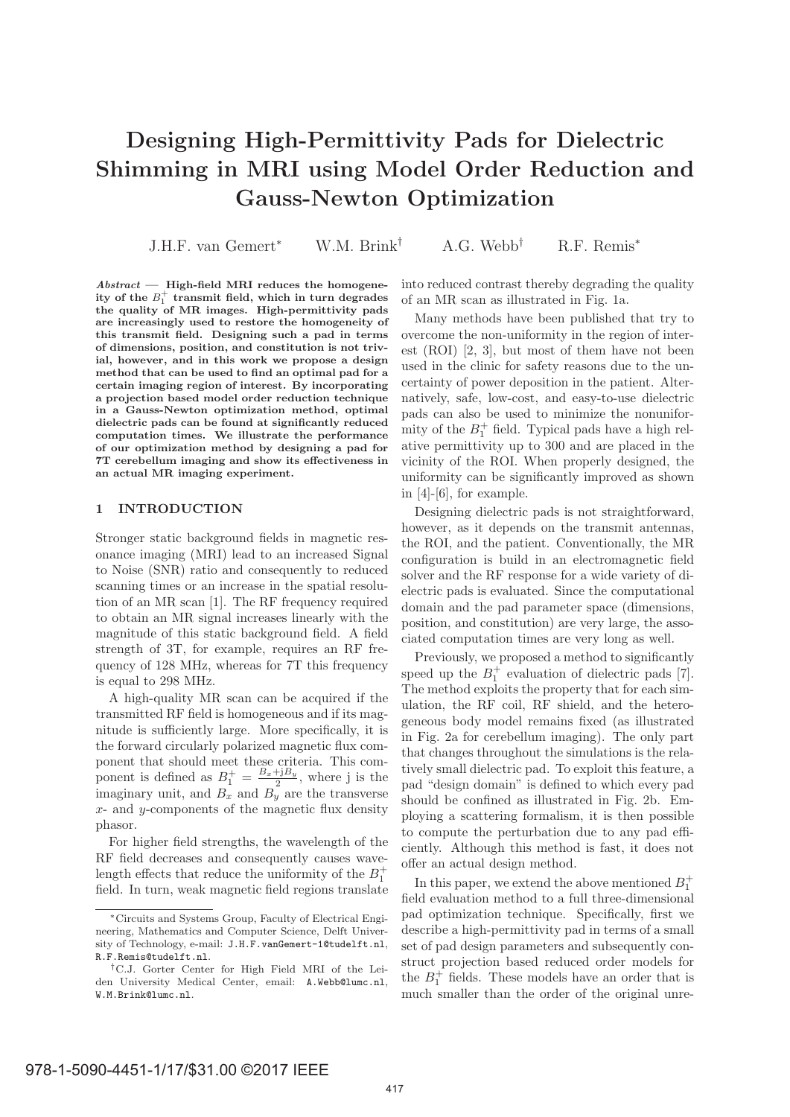# **Designing High-Permittivity Pads for Dielectric Shimming in MRI using Model Order Reduction and Gauss-Newton Optimization**

J.H.F. van Gemert<sup>∗</sup> W.M. Brink† A.G. Webb† R.F. Remis<sup>∗</sup>

*Abstract* **— High-field MRI reduces the homogeneity of the** B<sup>+</sup> <sup>1</sup> **transmit field, which in turn degrades the quality of MR images. High-permittivity pads are increasingly used to restore the homogeneity of this transmit field. Designing such a pad in terms of dimensions, position, and constitution is not trivial, however, and in this work we propose a design method that can be used to find an optimal pad for a certain imaging region of interest. By incorporating a projection based model order reduction technique in a Gauss-Newton optimization method, optimal dielectric pads can be found at significantly reduced computation times. We illustrate the performance of our optimization method by designing a pad for 7T cerebellum imaging and show its effectiveness in an actual MR imaging experiment.**

## **1 INTRODUCTION**

Stronger static background fields in magnetic resonance imaging (MRI) lead to an increased Signal to Noise (SNR) ratio and consequently to reduced scanning times or an increase in the spatial resolution of an MR scan [1]. The RF frequency required to obtain an MR signal increases linearly with the magnitude of this static background field. A field strength of 3T, for example, requires an RF frequency of 128 MHz, whereas for 7T this frequency is equal to 298 MHz.

A high-quality MR scan can be acquired if the transmitted RF field is homogeneous and if its magnitude is sufficiently large. More specifically, it is the forward circularly polarized magnetic flux component that should meet these criteria. This component is defined as  $B_1^+ = \frac{B_x + jB_y}{2}$ , where j is the imaginary unit, and  $B_x$  and  $B_y$  are the transverse  $x$ - and  $y$ -components of the magnetic flux density phasor.

For higher field strengths, the wavelength of the RF field decreases and consequently causes wavelength effects that reduce the uniformity of the  $B_1^+$ field. In turn, weak magnetic field regions translate into reduced contrast thereby degrading the quality of an MR scan as illustrated in Fig. 1a.

Many methods have been published that try to overcome the non-uniformity in the region of interest (ROI) [2, 3], but most of them have not been used in the clinic for safety reasons due to the uncertainty of power deposition in the patient. Alternatively, safe, low-cost, and easy-to-use dielectric pads can also be used to minimize the nonuniformity of the  $B_1^+$  field. Typical pads have a high relative permittivity up to 300 and are placed in the vicinity of the ROI. When properly designed, the uniformity can be significantly improved as shown in [4]-[6], for example.

Designing dielectric pads is not straightforward, however, as it depends on the transmit antennas, the ROI, and the patient. Conventionally, the MR configuration is build in an electromagnetic field solver and the RF response for a wide variety of dielectric pads is evaluated. Since the computational domain and the pad parameter space (dimensions, position, and constitution) are very large, the associated computation times are very long as well.

Previously, we proposed a method to significantly speed up the  $B_1^+$  evaluation of dielectric pads [7]. The method exploits the property that for each simulation, the RF coil, RF shield, and the heterogeneous body model remains fixed (as illustrated in Fig. 2a for cerebellum imaging). The only part that changes throughout the simulations is the relatively small dielectric pad. To exploit this feature, a pad "design domain" is defined to which every pad should be confined as illustrated in Fig. 2b. Employing a scattering formalism, it is then possible to compute the perturbation due to any pad efficiently. Although this method is fast, it does not offer an actual design method.

In this paper, we extend the above mentioned  $B_1^+$ field evaluation method to a full three-dimensional pad optimization technique. Specifically, first we describe a high-permittivity pad in terms of a small set of pad design parameters and subsequently construct projection based reduced order models for the  $B_1^+$  fields. These models have an order that is much smaller than the order of the original unre-

<sup>∗</sup>Circuits and Systems Group, Faculty of Electrical Engineering, Mathematics and Computer Science, Delft University of Technology, e-mail: J.H.F.vanGemert-1@tudelft.nl, R.F.Remis@tudelft.nl.

<sup>†</sup>C.J. Gorter Center for High Field MRI of the Leiden University Medical Center, email: A.Webb@lumc.nl, W.M.Brink@lumc.nl.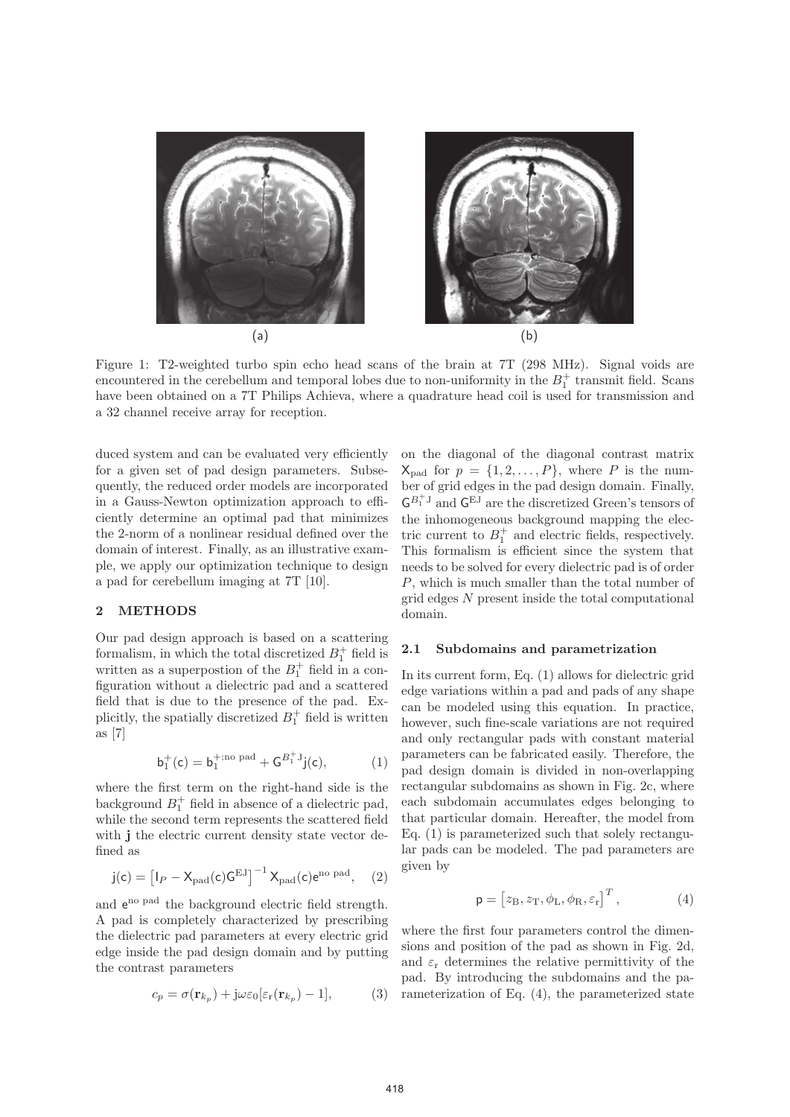

Figure 1: T2-weighted turbo spin echo head scans of the brain at 7T (298 MHz). Signal voids are encountered in the cerebellum and temporal lobes due to non-uniformity in the  $B_1^+$  transmit field. Scans have been obtained on a 7T Philips Achieva, where a quadrature head coil is used for transmission and a 32 channel receive array for reception.

duced system and can be evaluated very efficiently for a given set of pad design parameters. Subsequently, the reduced order models are incorporated in a Gauss-Newton optimization approach to efficiently determine an optimal pad that minimizes the 2-norm of a nonlinear residual defined over the domain of interest. Finally, as an illustrative example, we apply our optimization technique to design a pad for cerebellum imaging at 7T [10].

#### **2 METHODS**

Our pad design approach is based on a scattering formalism, in which the total discretized  $B_1^+$  field is written as a superpostion of the  $B_1^+$  field in a configuration without a dielectric pad and a scattered field that is due to the presence of the pad. Explicitly, the spatially discretized  $B_1^+$  field is written as [7]

$$
b_1^+(c)=b_1^{+;\rm no\,\,pad}+G^{B_1^+J}j(c),\qquad \qquad (1)
$$

where the first term on the right-hand side is the background  $B_1^+$  field in absence of a dielectric pad, while the second term represents the scattered field with **j** the electric current density state vector defined as

$$
j(c) = \left[I_P - X_{\rm pad}(c)G^{\rm EJ}\right]^{-1} X_{\rm pad}(c)e^{\rm no\ pad}, \quad (2)
$$

and  $e^{no pad}$  the background electric field strength. A pad is completely characterized by prescribing the dielectric pad parameters at every electric grid edge inside the pad design domain and by putting the contrast parameters

$$
c_p = \sigma(\mathbf{r}_{k_p}) + j\omega\varepsilon_0[\varepsilon_\mathbf{r}(\mathbf{r}_{k_p}) - 1],\tag{3}
$$

on the diagonal of the diagonal contrast matrix  $X_{pad}$  for  $p = \{1, 2, ..., P\}$ , where P is the number of grid edges in the pad design domain. Finally,  $\mathsf{G}^{B_1^+J}$  and  $\mathsf{G}^{\mathrm{E}J}$  are the discretized Green's tensors of the inhomogeneous background mapping the electric current to  $B_1^+$  and electric fields, respectively. This formalism is efficient since the system that needs to be solved for every dielectric pad is of order P, which is much smaller than the total number of grid edges N present inside the total computational domain.

## **2.1 Subdomains and parametrization**

In its current form, Eq. (1) allows for dielectric grid edge variations within a pad and pads of any shape can be modeled using this equation. In practice, however, such fine-scale variations are not required and only rectangular pads with constant material parameters can be fabricated easily. Therefore, the pad design domain is divided in non-overlapping rectangular subdomains as shown in Fig. 2c, where each subdomain accumulates edges belonging to that particular domain. Hereafter, the model from Eq. (1) is parameterized such that solely rectangular pads can be modeled. The pad parameters are given by

$$
\mathbf{p} = \begin{bmatrix} z_{\rm B}, z_{\rm T}, \phi_{\rm L}, \phi_{\rm R}, \varepsilon_{\rm r} \end{bmatrix}^T, \tag{4}
$$

where the first four parameters control the dimensions and position of the pad as shown in Fig. 2d, and  $\varepsilon_r$  determines the relative permittivity of the pad. By introducing the subdomains and the parameterization of Eq. (4), the parameterized state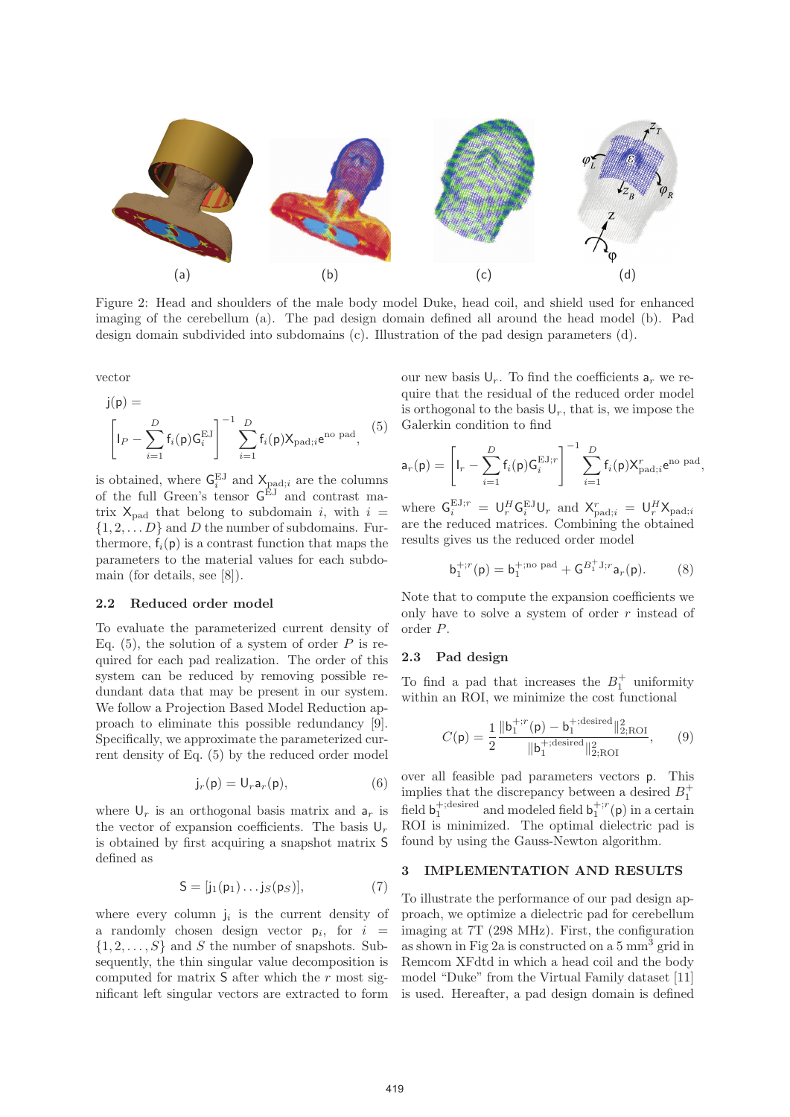

Figure 2: Head and shoulders of the male body model Duke, head coil, and shield used for enhanced imaging of the cerebellum (a). The pad design domain defined all around the head model (b). Pad design domain subdivided into subdomains (c). Illustration of the pad design parameters (d).

vector

$$
j(p) = \left[\n\left|P - \sum_{i=1}^{D} f_i(p) G_i^{EJ}\right|^{-1} \sum_{i=1}^{D} f_i(p) X_{\text{pad};i} e^{no \text{ pad}},\n\right]
$$
\n(5)

is obtained, where  $\mathsf{G}_i^{\mathrm{EJ}}$  and  $\mathsf{X}_{\mathrm{pad};i}$  are the columns of the full Green's tensor  $G^{EJ}$  and contrast matrix  $X_{pad}$  that belong to subdomain i, with  $i =$  $\{1, 2, \ldots D\}$  and D the number of subdomains. Furthermore,  $f_i(p)$  is a contrast function that maps the parameters to the material values for each subdomain (for details, see [8]).

# **2.2 Reduced order model**

To evaluate the parameterized current density of Eq.  $(5)$ , the solution of a system of order P is required for each pad realization. The order of this system can be reduced by removing possible redundant data that may be present in our system. We follow a Projection Based Model Reduction approach to eliminate this possible redundancy [9]. Specifically, we approximate the parameterized current density of Eq. (5) by the reduced order model

$$
j_r(p) = U_r a_r(p), \qquad (6)
$$

where  $\mathsf{U}_r$  is an orthogonal basis matrix and  $\mathsf{a}_r$  is the vector of expansion coefficients. The basis  $\mathsf{U}_r$ is obtained by first acquiring a snapshot matrix S defined as

$$
S = [j_1(p_1)\dots j_S(p_S)], \qquad (7)
$$

where every column  $j_i$  is the current density of a randomly chosen design vector  $p_i$ , for  $i =$  $\{1, 2, \ldots, S\}$  and S the number of snapshots. Subsequently, the thin singular value decomposition is computed for matrix  $S$  after which the r most significant left singular vectors are extracted to form

our new basis  $\mathsf{U}_r$ . To find the coefficients  $\mathsf{a}_r$  we require that the residual of the reduced order model is orthogonal to the basis  $\mathsf{U}_r$ , that is, we impose the Galerkin condition to find

$$
\mathsf{a}_r(\mathsf{p}) = \left[\mathsf{I}_r - \sum_{i=1}^D \mathsf{f}_i(\mathsf{p}) \mathsf{G}_i^{\mathrm{EJ};r} \right]^{-1} \sum_{i=1}^D \mathsf{f}_i(\mathsf{p}) X^r_{\mathrm{pad};i} e^{\mathrm{no~pad}},
$$

where  $\mathsf{G}_i^{\mathrm{EJ};r} = \mathsf{U}_r^H \mathsf{G}_i^{\mathrm{EJ}} \mathsf{U}_r$  and  $\mathsf{X}_{\mathrm{pad};i}^r = \mathsf{U}_r^H \mathsf{X}_{\mathrm{pad};i}$ are the reduced matrices. Combining the obtained results gives us the reduced order model

$$
b_1^{+;r}(p) = b_1^{+;no \text{ pad}} + G^{B_1^+,1;r} a_r(p). \tag{8}
$$

Note that to compute the expansion coefficients we only have to solve a system of order  $r$  instead of order P.

#### **2.3 Pad design**

To find a pad that increases the  $B_1^+$  uniformity within an ROI, we minimize the cost functional

$$
C(\mathsf{p}) = \frac{1}{2} \frac{\|\mathsf{b}_1^{+;r}(\mathsf{p}) - \mathsf{b}_1^{+;desired}\|_{2;\text{ROI}}^2}{\|\mathsf{b}_1^{+;desired}\|_{2;\text{ROI}}^2},\qquad(9)
$$

over all feasible pad parameters vectors p. This implies that the discrepancy between a desired  $B_1^+$ field  $\mathbf{b}_1^{+, \text{desired}}$  and modeled field  $\mathbf{b}_1^{+,r}(\mathbf{p})$  in a certain ROI is minimized. The optimal dielectric pad is found by using the Gauss-Newton algorithm.

#### **3 IMPLEMENTATION AND RESULTS**

To illustrate the performance of our pad design approach, we optimize a dielectric pad for cerebellum imaging at 7T (298 MHz). First, the configuration as shown in Fig 2a is constructed on a 5 mm<sup>3</sup> grid in Remcom XFdtd in which a head coil and the body model "Duke" from the Virtual Family dataset [11] is used. Hereafter, a pad design domain is defined